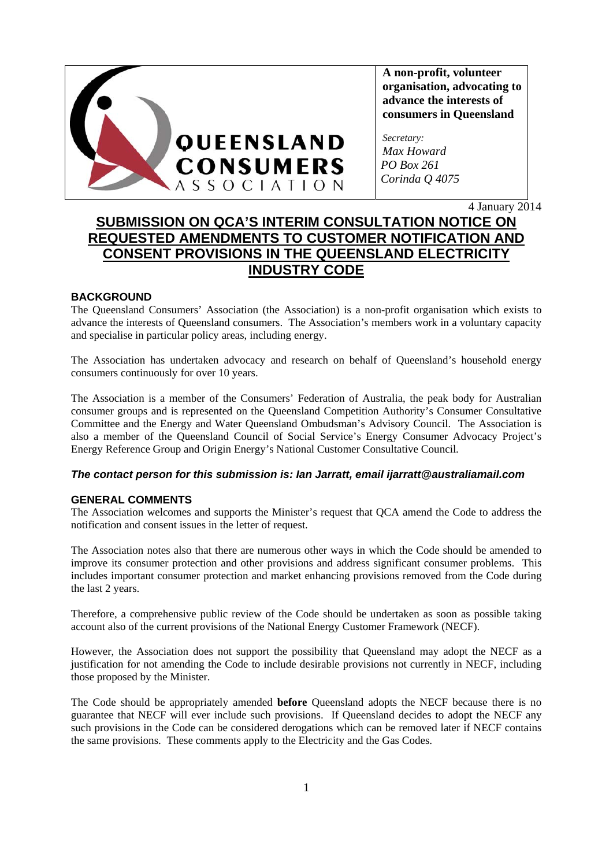

**A non-profit, volunteer organisation, advocating to advance the interests of consumers in Queensland** 

*Secretary: Max Howard PO Box 261 Corinda Q 4075* 

4 January 2014

# **SUBMISSION ON QCA'S INTERIM CONSULTATION NOTICE ON REQUESTED AMENDMENTS TO CUSTOMER NOTIFICATION AND CONSENT PROVISIONS IN THE QUEENSLAND ELECTRICITY INDUSTRY CODE**

# **BACKGROUND**

The Queensland Consumers' Association (the Association) is a non-profit organisation which exists to advance the interests of Queensland consumers. The Association's members work in a voluntary capacity and specialise in particular policy areas, including energy.

The Association has undertaken advocacy and research on behalf of Queensland's household energy consumers continuously for over 10 years.

The Association is a member of the Consumers' Federation of Australia, the peak body for Australian consumer groups and is represented on the Queensland Competition Authority's Consumer Consultative Committee and the Energy and Water Queensland Ombudsman's Advisory Council. The Association is also a member of the Queensland Council of Social Service's Energy Consumer Advocacy Project's Energy Reference Group and Origin Energy's National Customer Consultative Council.

## *The contact person for this submission is: Ian Jarratt, email ijarratt@australiamail.com*

## **GENERAL COMMENTS**

The Association welcomes and supports the Minister's request that QCA amend the Code to address the notification and consent issues in the letter of request.

The Association notes also that there are numerous other ways in which the Code should be amended to improve its consumer protection and other provisions and address significant consumer problems. This includes important consumer protection and market enhancing provisions removed from the Code during the last 2 years.

Therefore, a comprehensive public review of the Code should be undertaken as soon as possible taking account also of the current provisions of the National Energy Customer Framework (NECF).

However, the Association does not support the possibility that Queensland may adopt the NECF as a justification for not amending the Code to include desirable provisions not currently in NECF, including those proposed by the Minister.

The Code should be appropriately amended **before** Queensland adopts the NECF because there is no guarantee that NECF will ever include such provisions. If Queensland decides to adopt the NECF any such provisions in the Code can be considered derogations which can be removed later if NECF contains the same provisions. These comments apply to the Electricity and the Gas Codes.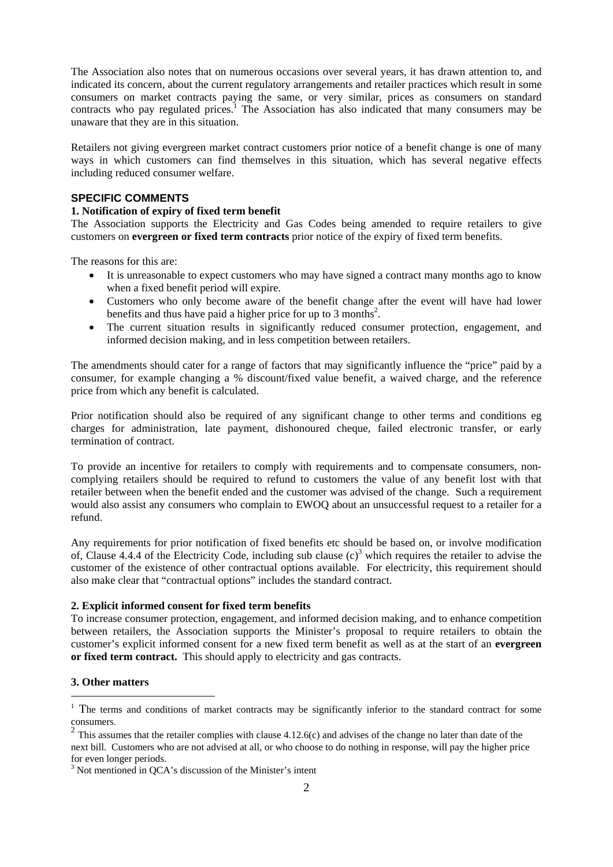The Association also notes that on numerous occasions over several years, it has drawn attention to, and indicated its concern, about the current regulatory arrangements and retailer practices which result in some consumers on market contracts paying the same, or very similar, prices as consumers on standard contracts who pay regulated prices.<sup>1</sup> The Association has also indicated that many consumers may be unaware that they are in this situation.

Retailers not giving evergreen market contract customers prior notice of a benefit change is one of many ways in which customers can find themselves in this situation, which has several negative effects including reduced consumer welfare.

### **SPECIFIC COMMENTS**

#### **1. Notification of expiry of fixed term benefit**

The Association supports the Electricity and Gas Codes being amended to require retailers to give customers on **evergreen or fixed term contracts** prior notice of the expiry of fixed term benefits.

The reasons for this are:

- It is unreasonable to expect customers who may have signed a contract many months ago to know when a fixed benefit period will expire.
- Customers who only become aware of the benefit change after the event will have had lower benefits and thus have paid a higher price for up to 3 months<sup>2</sup>.
- The current situation results in significantly reduced consumer protection, engagement, and informed decision making, and in less competition between retailers.

The amendments should cater for a range of factors that may significantly influence the "price" paid by a consumer, for example changing a % discount/fixed value benefit, a waived charge, and the reference price from which any benefit is calculated.

Prior notification should also be required of any significant change to other terms and conditions eg charges for administration, late payment, dishonoured cheque, failed electronic transfer, or early termination of contract.

To provide an incentive for retailers to comply with requirements and to compensate consumers, noncomplying retailers should be required to refund to customers the value of any benefit lost with that retailer between when the benefit ended and the customer was advised of the change. Such a requirement would also assist any consumers who complain to EWOQ about an unsuccessful request to a retailer for a refund.

Any requirements for prior notification of fixed benefits etc should be based on, or involve modification of, Clause 4.4.4 of the Electricity Code, including sub clause  $(c)^3$  which requires the retailer to advise the customer of the existence of other contractual options available. For electricity, this requirement should also make clear that "contractual options" includes the standard contract.

#### **2. Explicit informed consent for fixed term benefits**

To increase consumer protection, engagement, and informed decision making, and to enhance competition between retailers, the Association supports the Minister's proposal to require retailers to obtain the customer's explicit informed consent for a new fixed term benefit as well as at the start of an **evergreen or fixed term contract.** This should apply to electricity and gas contracts.

## **3. Other matters**

-

<sup>&</sup>lt;sup>1</sup> The terms and conditions of market contracts may be significantly inferior to the standard contract for some

consumers.<br><sup>2</sup> This assumes that the retailer complies with clause 4.12.6(c) and advises of the change no later than date of the next bill. Customers who are not advised at all, or who choose to do nothing in response, will pay the higher price for even longer periods.

<sup>&</sup>lt;sup>3</sup> Not mentioned in QCA's discussion of the Minister's intent